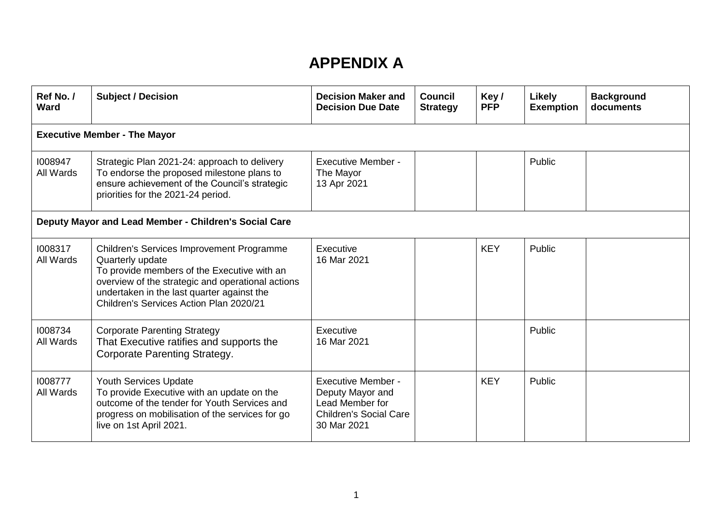## **APPENDIX A**

| Ref No. /<br><b>Ward</b>                              | <b>Subject / Decision</b>                                                                                                                                                                                                                                  | <b>Decision Maker and</b><br><b>Decision Due Date</b>                                                            | Council<br><b>Strategy</b> | Key/<br><b>PFP</b> | Likely<br><b>Exemption</b> | <b>Background</b><br>documents |  |  |  |
|-------------------------------------------------------|------------------------------------------------------------------------------------------------------------------------------------------------------------------------------------------------------------------------------------------------------------|------------------------------------------------------------------------------------------------------------------|----------------------------|--------------------|----------------------------|--------------------------------|--|--|--|
|                                                       | <b>Executive Member - The Mayor</b>                                                                                                                                                                                                                        |                                                                                                                  |                            |                    |                            |                                |  |  |  |
| 1008947<br>All Wards                                  | Strategic Plan 2021-24: approach to delivery<br>To endorse the proposed milestone plans to<br>ensure achievement of the Council's strategic<br>priorities for the 2021-24 period.                                                                          | <b>Executive Member -</b><br>The Mayor<br>13 Apr 2021                                                            |                            |                    | Public                     |                                |  |  |  |
| Deputy Mayor and Lead Member - Children's Social Care |                                                                                                                                                                                                                                                            |                                                                                                                  |                            |                    |                            |                                |  |  |  |
| 1008317<br>All Wards                                  | Children's Services Improvement Programme<br>Quarterly update<br>To provide members of the Executive with an<br>overview of the strategic and operational actions<br>undertaken in the last quarter against the<br>Children's Services Action Plan 2020/21 | Executive<br>16 Mar 2021                                                                                         |                            | <b>KEY</b>         | Public                     |                                |  |  |  |
| 1008734<br>All Wards                                  | <b>Corporate Parenting Strategy</b><br>That Executive ratifies and supports the<br><b>Corporate Parenting Strategy.</b>                                                                                                                                    | Executive<br>16 Mar 2021                                                                                         |                            |                    | Public                     |                                |  |  |  |
| 1008777<br>All Wards                                  | Youth Services Update<br>To provide Executive with an update on the<br>outcome of the tender for Youth Services and<br>progress on mobilisation of the services for go<br>live on 1st April 2021.                                                          | <b>Executive Member -</b><br>Deputy Mayor and<br>Lead Member for<br><b>Children's Social Care</b><br>30 Mar 2021 |                            | <b>KEY</b>         | Public                     |                                |  |  |  |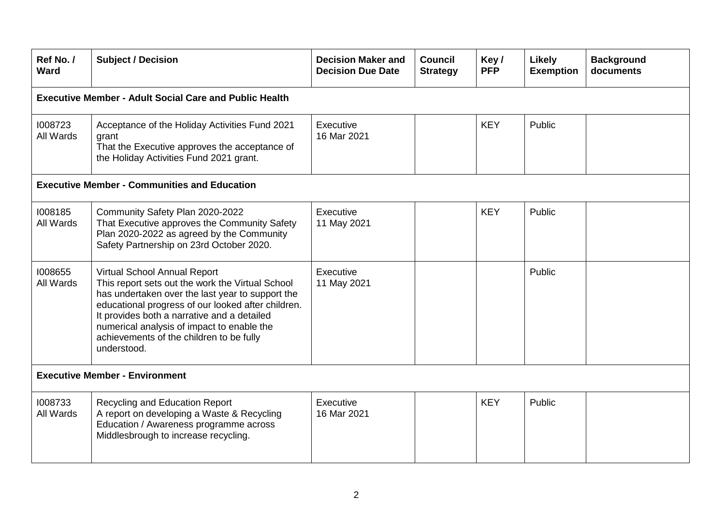| Ref No./<br><b>Ward</b>               | <b>Subject / Decision</b>                                                                                                                                                                                                                                                                                                                          | <b>Decision Maker and</b><br><b>Decision Due Date</b> | <b>Council</b><br><b>Strategy</b> | Key/<br><b>PFP</b> | Likely<br><b>Exemption</b> | <b>Background</b><br>documents |  |  |  |
|---------------------------------------|----------------------------------------------------------------------------------------------------------------------------------------------------------------------------------------------------------------------------------------------------------------------------------------------------------------------------------------------------|-------------------------------------------------------|-----------------------------------|--------------------|----------------------------|--------------------------------|--|--|--|
|                                       | <b>Executive Member - Adult Social Care and Public Health</b>                                                                                                                                                                                                                                                                                      |                                                       |                                   |                    |                            |                                |  |  |  |
| 1008723<br>All Wards                  | Acceptance of the Holiday Activities Fund 2021<br>grant<br>That the Executive approves the acceptance of<br>the Holiday Activities Fund 2021 grant.                                                                                                                                                                                                | Executive<br>16 Mar 2021                              |                                   | <b>KEY</b>         | Public                     |                                |  |  |  |
|                                       | <b>Executive Member - Communities and Education</b>                                                                                                                                                                                                                                                                                                |                                                       |                                   |                    |                            |                                |  |  |  |
| 1008185<br>All Wards                  | Community Safety Plan 2020-2022<br>That Executive approves the Community Safety<br>Plan 2020-2022 as agreed by the Community<br>Safety Partnership on 23rd October 2020.                                                                                                                                                                           | Executive<br>11 May 2021                              |                                   | <b>KEY</b>         | Public                     |                                |  |  |  |
| 1008655<br>All Wards                  | Virtual School Annual Report<br>This report sets out the work the Virtual School<br>has undertaken over the last year to support the<br>educational progress of our looked after children.<br>It provides both a narrative and a detailed<br>numerical analysis of impact to enable the<br>achievements of the children to be fully<br>understood. | Executive<br>11 May 2021                              |                                   |                    | Public                     |                                |  |  |  |
| <b>Executive Member - Environment</b> |                                                                                                                                                                                                                                                                                                                                                    |                                                       |                                   |                    |                            |                                |  |  |  |
| 1008733<br>All Wards                  | Recycling and Education Report<br>A report on developing a Waste & Recycling<br>Education / Awareness programme across<br>Middlesbrough to increase recycling.                                                                                                                                                                                     | Executive<br>16 Mar 2021                              |                                   | <b>KEY</b>         | Public                     |                                |  |  |  |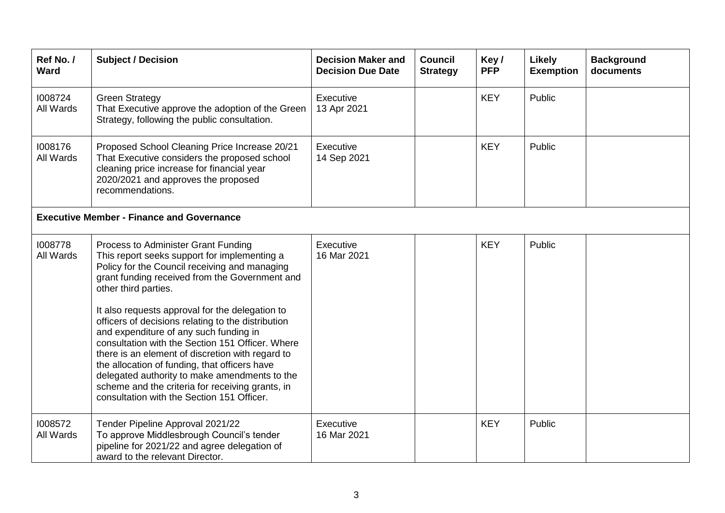| Ref No./<br>Ward                                 | <b>Subject / Decision</b>                                                                                                                                                                                                                                                                                                                                                                                             | <b>Decision Maker and</b><br><b>Decision Due Date</b> | <b>Council</b><br><b>Strategy</b> | Key/<br><b>PFP</b> | Likely<br><b>Exemption</b> | <b>Background</b><br>documents |  |
|--------------------------------------------------|-----------------------------------------------------------------------------------------------------------------------------------------------------------------------------------------------------------------------------------------------------------------------------------------------------------------------------------------------------------------------------------------------------------------------|-------------------------------------------------------|-----------------------------------|--------------------|----------------------------|--------------------------------|--|
| 1008724<br>All Wards                             | <b>Green Strategy</b><br>That Executive approve the adoption of the Green<br>Strategy, following the public consultation.                                                                                                                                                                                                                                                                                             | Executive<br>13 Apr 2021                              |                                   | <b>KEY</b>         | Public                     |                                |  |
| 1008176<br>All Wards                             | Proposed School Cleaning Price Increase 20/21<br>That Executive considers the proposed school<br>cleaning price increase for financial year<br>2020/2021 and approves the proposed<br>recommendations.                                                                                                                                                                                                                | Executive<br>14 Sep 2021                              |                                   | <b>KEY</b>         | Public                     |                                |  |
| <b>Executive Member - Finance and Governance</b> |                                                                                                                                                                                                                                                                                                                                                                                                                       |                                                       |                                   |                    |                            |                                |  |
| 1008778<br>All Wards                             | Process to Administer Grant Funding<br>This report seeks support for implementing a<br>Policy for the Council receiving and managing<br>grant funding received from the Government and<br>other third parties.<br>It also requests approval for the delegation to<br>officers of decisions relating to the distribution<br>and expenditure of any such funding in<br>consultation with the Section 151 Officer. Where | Executive<br>16 Mar 2021                              |                                   | <b>KEY</b>         | Public                     |                                |  |
|                                                  | there is an element of discretion with regard to<br>the allocation of funding, that officers have<br>delegated authority to make amendments to the<br>scheme and the criteria for receiving grants, in<br>consultation with the Section 151 Officer.                                                                                                                                                                  |                                                       |                                   |                    |                            |                                |  |
| 1008572<br>All Wards                             | Tender Pipeline Approval 2021/22<br>To approve Middlesbrough Council's tender<br>pipeline for 2021/22 and agree delegation of<br>award to the relevant Director.                                                                                                                                                                                                                                                      | Executive<br>16 Mar 2021                              |                                   | <b>KEY</b>         | Public                     |                                |  |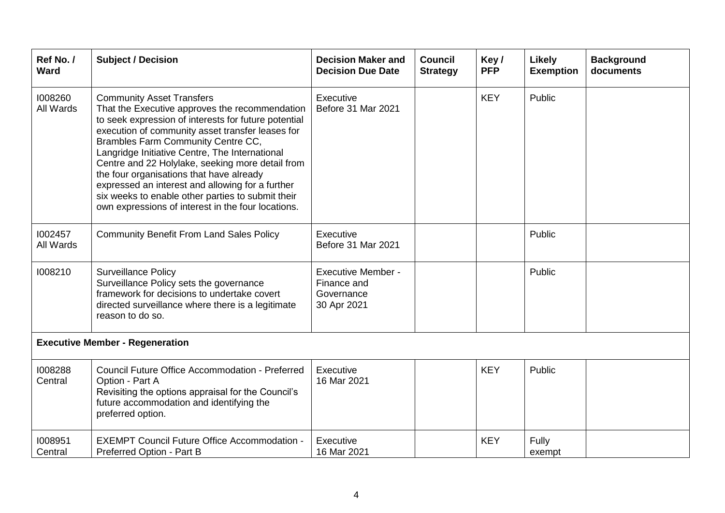| Ref No./<br><b>Ward</b>                | <b>Subject / Decision</b>                                                                                                                                                                                                                                                                                                                                                                                                                                                                                                                             | <b>Decision Maker and</b><br><b>Decision Due Date</b>                 | <b>Council</b><br><b>Strategy</b> | Key/<br><b>PFP</b> | <b>Likely</b><br><b>Exemption</b> | <b>Background</b><br>documents |  |  |
|----------------------------------------|-------------------------------------------------------------------------------------------------------------------------------------------------------------------------------------------------------------------------------------------------------------------------------------------------------------------------------------------------------------------------------------------------------------------------------------------------------------------------------------------------------------------------------------------------------|-----------------------------------------------------------------------|-----------------------------------|--------------------|-----------------------------------|--------------------------------|--|--|
| 1008260<br>All Wards                   | <b>Community Asset Transfers</b><br>That the Executive approves the recommendation<br>to seek expression of interests for future potential<br>execution of community asset transfer leases for<br>Brambles Farm Community Centre CC,<br>Langridge Initiative Centre, The International<br>Centre and 22 Holylake, seeking more detail from<br>the four organisations that have already<br>expressed an interest and allowing for a further<br>six weeks to enable other parties to submit their<br>own expressions of interest in the four locations. | Executive<br>Before 31 Mar 2021                                       |                                   | <b>KEY</b>         | Public                            |                                |  |  |
| 1002457<br>All Wards                   | <b>Community Benefit From Land Sales Policy</b>                                                                                                                                                                                                                                                                                                                                                                                                                                                                                                       | Executive<br>Before 31 Mar 2021                                       |                                   |                    | Public                            |                                |  |  |
| 1008210                                | <b>Surveillance Policy</b><br>Surveillance Policy sets the governance<br>framework for decisions to undertake covert<br>directed surveillance where there is a legitimate<br>reason to do so.                                                                                                                                                                                                                                                                                                                                                         | <b>Executive Member -</b><br>Finance and<br>Governance<br>30 Apr 2021 |                                   |                    | Public                            |                                |  |  |
| <b>Executive Member - Regeneration</b> |                                                                                                                                                                                                                                                                                                                                                                                                                                                                                                                                                       |                                                                       |                                   |                    |                                   |                                |  |  |
| 1008288<br>Central                     | Council Future Office Accommodation - Preferred<br>Option - Part A<br>Revisiting the options appraisal for the Council's<br>future accommodation and identifying the<br>preferred option.                                                                                                                                                                                                                                                                                                                                                             | Executive<br>16 Mar 2021                                              |                                   | <b>KEY</b>         | Public                            |                                |  |  |
| 1008951<br>Central                     | <b>EXEMPT Council Future Office Accommodation -</b><br>Preferred Option - Part B                                                                                                                                                                                                                                                                                                                                                                                                                                                                      | Executive<br>16 Mar 2021                                              |                                   | <b>KEY</b>         | Fully<br>exempt                   |                                |  |  |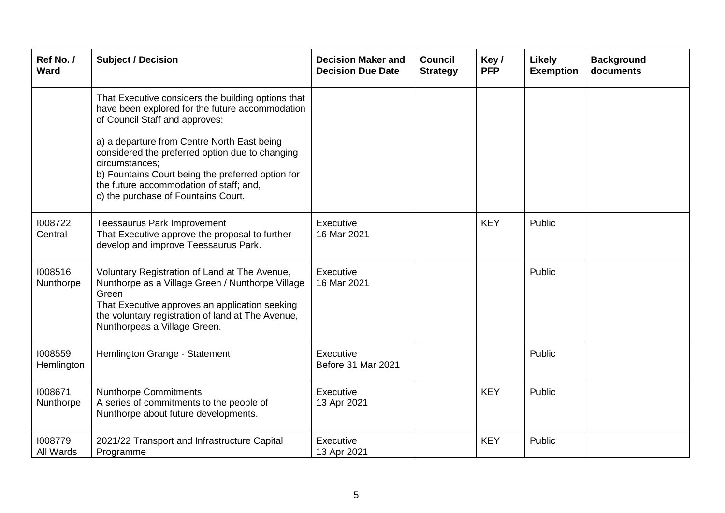| Ref No./<br><b>Ward</b> | <b>Subject / Decision</b>                                                                                                                                                                                                                               | <b>Decision Maker and</b><br><b>Decision Due Date</b> | <b>Council</b><br><b>Strategy</b> | Key/<br><b>PFP</b> | Likely<br><b>Exemption</b> | <b>Background</b><br>documents |
|-------------------------|---------------------------------------------------------------------------------------------------------------------------------------------------------------------------------------------------------------------------------------------------------|-------------------------------------------------------|-----------------------------------|--------------------|----------------------------|--------------------------------|
|                         | That Executive considers the building options that<br>have been explored for the future accommodation<br>of Council Staff and approves:                                                                                                                 |                                                       |                                   |                    |                            |                                |
|                         | a) a departure from Centre North East being<br>considered the preferred option due to changing<br>circumstances;<br>b) Fountains Court being the preferred option for<br>the future accommodation of staff; and,<br>c) the purchase of Fountains Court. |                                                       |                                   |                    |                            |                                |
| 1008722<br>Central      | <b>Teessaurus Park Improvement</b><br>That Executive approve the proposal to further<br>develop and improve Teessaurus Park.                                                                                                                            | Executive<br>16 Mar 2021                              |                                   | <b>KEY</b>         | Public                     |                                |
| 1008516<br>Nunthorpe    | Voluntary Registration of Land at The Avenue,<br>Nunthorpe as a Village Green / Nunthorpe Village<br>Green<br>That Executive approves an application seeking<br>the voluntary registration of land at The Avenue,<br>Nunthorpeas a Village Green.       | Executive<br>16 Mar 2021                              |                                   |                    | Public                     |                                |
| 1008559<br>Hemlington   | Hemlington Grange - Statement                                                                                                                                                                                                                           | Executive<br>Before 31 Mar 2021                       |                                   |                    | Public                     |                                |
| 1008671<br>Nunthorpe    | <b>Nunthorpe Commitments</b><br>A series of commitments to the people of<br>Nunthorpe about future developments.                                                                                                                                        | Executive<br>13 Apr 2021                              |                                   | <b>KEY</b>         | Public                     |                                |
| 1008779<br>All Wards    | 2021/22 Transport and Infrastructure Capital<br>Programme                                                                                                                                                                                               | Executive<br>13 Apr 2021                              |                                   | <b>KEY</b>         | Public                     |                                |